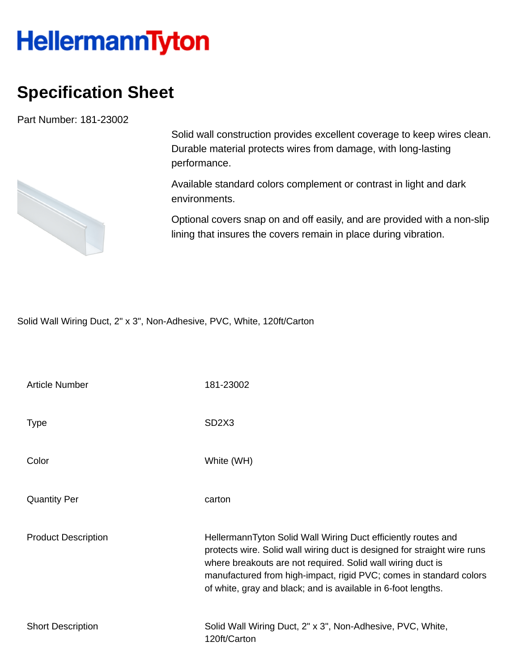## **HellermannTyton**

## **Specification Sheet**

Part Number: 181-23002



Solid wall construction provides excellent coverage to keep wires clean. Durable material protects wires from damage, with long-lasting performance.

Available standard colors complement or contrast in light and dark environments.

Optional covers snap on and off easily, and are provided with a non-slip lining that insures the covers remain in place during vibration.

Solid Wall Wiring Duct, 2" x 3", Non-Adhesive, PVC, White, 120ft/Carton

| <b>Article Number</b>      | 181-23002                                                                                                                                                                                                                                                                                                                                       |
|----------------------------|-------------------------------------------------------------------------------------------------------------------------------------------------------------------------------------------------------------------------------------------------------------------------------------------------------------------------------------------------|
| <b>Type</b>                | SD <sub>2</sub> X <sub>3</sub>                                                                                                                                                                                                                                                                                                                  |
| Color                      | White (WH)                                                                                                                                                                                                                                                                                                                                      |
| <b>Quantity Per</b>        | carton                                                                                                                                                                                                                                                                                                                                          |
| <b>Product Description</b> | HellermannTyton Solid Wall Wiring Duct efficiently routes and<br>protects wire. Solid wall wiring duct is designed for straight wire runs<br>where breakouts are not required. Solid wall wiring duct is<br>manufactured from high-impact, rigid PVC; comes in standard colors<br>of white, gray and black; and is available in 6-foot lengths. |
| <b>Short Description</b>   | Solid Wall Wiring Duct, 2" x 3", Non-Adhesive, PVC, White,<br>120ft/Carton                                                                                                                                                                                                                                                                      |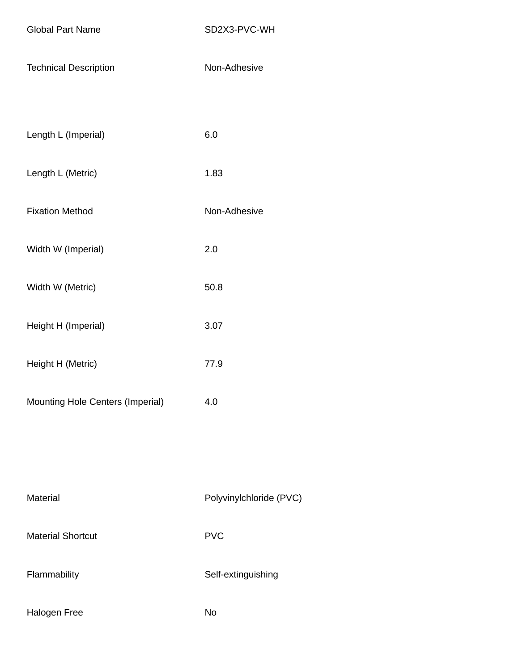| <b>Technical Description</b> | Non-Adhesive |
|------------------------------|--------------|
|------------------------------|--------------|

| Length L (Imperial) | 6.0 |
|---------------------|-----|
|---------------------|-----|

- Length L (Metric) 1.83
- Fixation Method Non-Adhesive
- Width W (Imperial) 2.0
- Width W (Metric) 50.8
- Height H (Imperial) 3.07
- Height H (Metric) 77.9
- Mounting Hole Centers (Imperial) 4.0

| Material                 | Polyvinylchloride (PVC) |
|--------------------------|-------------------------|
| <b>Material Shortcut</b> | <b>PVC</b>              |
| Flammability             | Self-extinguishing      |
| Halogen Free             | No                      |